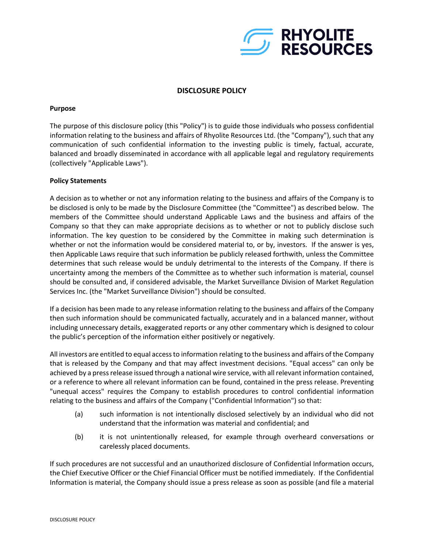

# **DISCLOSURE POLICY**

#### **Purpose**

The purpose of this disclosure policy (this "Policy") is to guide those individuals who possess confidential information relating to the business and affairs of Rhyolite Resources Ltd. (the "Company"), such that any communication of such confidential information to the investing public is timely, factual, accurate, balanced and broadly disseminated in accordance with all applicable legal and regulatory requirements (collectively "Applicable Laws").

## **Policy Statements**

A decision as to whether or not any information relating to the business and affairs of the Company is to be disclosed is only to be made by the Disclosure Committee (the "Committee") as described below. The members of the Committee should understand Applicable Laws and the business and affairs of the Company so that they can make appropriate decisions as to whether or not to publicly disclose such information. The key question to be considered by the Committee in making such determination is whether or not the information would be considered material to, or by, investors. If the answer is yes, then Applicable Laws require that such information be publicly released forthwith, unless the Committee determines that such release would be unduly detrimental to the interests of the Company. If there is uncertainty among the members of the Committee as to whether such information is material, counsel should be consulted and, if considered advisable, the Market Surveillance Division of Market Regulation Services Inc. (the "Market Surveillance Division") should be consulted.

If a decision has been made to any release information relating to the business and affairs of the Company then such information should be communicated factually, accurately and in a balanced manner, without including unnecessary details, exaggerated reports or any other commentary which is designed to colour the public's perception of the information either positively or negatively.

All investors are entitled to equal access to information relating to the business and affairs of the Company that is released by the Company and that may affect investment decisions. "Equal access" can only be achieved by a press release issued through a national wire service, with all relevant information contained, or a reference to where all relevant information can be found, contained in the press release. Preventing "unequal access" requires the Company to establish procedures to control confidential information relating to the business and affairs of the Company ("Confidential Information") so that:

- (a) such information is not intentionally disclosed selectively by an individual who did not understand that the information was material and confidential; and
- (b) it is not unintentionally released, for example through overheard conversations or carelessly placed documents.

If such procedures are not successful and an unauthorized disclosure of Confidential Information occurs, the Chief Executive Officer or the Chief Financial Officer must be notified immediately. If the Confidential Information is material, the Company should issue a press release as soon as possible (and file a material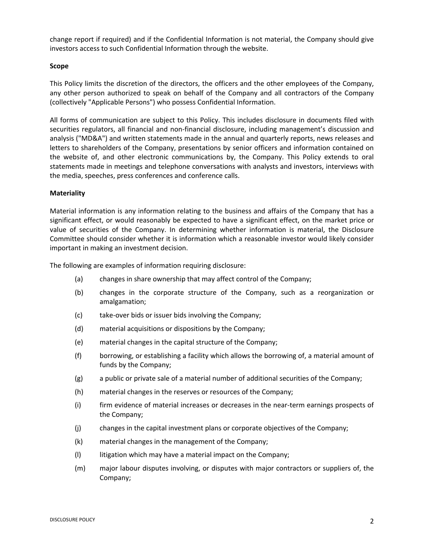change report if required) and if the Confidential Information is not material, the Company should give investors access to such Confidential Information through the website.

## **Scope**

This Policy limits the discretion of the directors, the officers and the other employees of the Company, any other person authorized to speak on behalf of the Company and all contractors of the Company (collectively "Applicable Persons") who possess Confidential Information.

All forms of communication are subject to this Policy. This includes disclosure in documents filed with securities regulators, all financial and non-financial disclosure, including management's discussion and analysis ("MD&A") and written statements made in the annual and quarterly reports, news releases and letters to shareholders of the Company, presentations by senior officers and information contained on the website of, and other electronic communications by, the Company. This Policy extends to oral statements made in meetings and telephone conversations with analysts and investors, interviews with the media, speeches, press conferences and conference calls.

## **Materiality**

Material information is any information relating to the business and affairs of the Company that has a significant effect, or would reasonably be expected to have a significant effect, on the market price or value of securities of the Company. In determining whether information is material, the Disclosure Committee should consider whether it is information which a reasonable investor would likely consider important in making an investment decision.

The following are examples of information requiring disclosure:

- (a) changes in share ownership that may affect control of the Company;
- (b) changes in the corporate structure of the Company, such as a reorganization or amalgamation;
- (c) take-over bids or issuer bids involving the Company;
- (d) material acquisitions or dispositions by the Company;
- (e) material changes in the capital structure of the Company;
- (f) borrowing, or establishing a facility which allows the borrowing of, a material amount of funds by the Company;
- (g) a public or private sale of a material number of additional securities of the Company;
- (h) material changes in the reserves or resources of the Company;
- (i) firm evidence of material increases or decreases in the near-term earnings prospects of the Company;
- (j) changes in the capital investment plans or corporate objectives of the Company;
- (k) material changes in the management of the Company;
- (l) litigation which may have a material impact on the Company;
- (m) major labour disputes involving, or disputes with major contractors or suppliers of, the Company;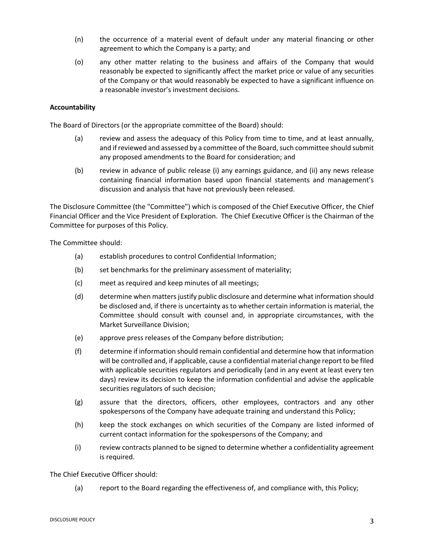- (n) the occurrence of a material event of default under any material financing or other agreement to which the Company is a party; and
- (o) any other matter relating to the business and affairs of the Company that would reasonably be expected to significantly affect the market price or value of any securities of the Company or that would reasonably be expected to have a significant influence on a reasonable investor's investment decisions.

## **Accountability**

The Board of Directors (or the appropriate committee of the Board) should:

- (a) review and assess the adequacy of this Policy from time to time, and at least annually, and if reviewed and assessed by a committee of the Board, such committee should submit any proposed amendments to the Board for consideration; and
- (b) review in advance of public release (i) any earnings guidance, and (ii) any news release containing financial information based upon financial statements and management's discussion and analysis that have not previously been released.

The Disclosure Committee (the "Committee") which is composed of the Chief Executive Officer, the Chief Financial Officer and the Vice President of Exploration. The Chief Executive Officer is the Chairman of the Committee for purposes of this Policy.

The Committee should:

- (a) establish procedures to control Confidential Information;
- (b) set benchmarks for the preliminary assessment of materiality;
- (c) meet as required and keep minutes of all meetings;
- (d) determine when matters justify public disclosure and determine what information should be disclosed and, if there is uncertainty as to whether certain information is material, the Committee should consult with counsel and, in appropriate circumstances, with the Market Surveillance Division;
- (e) approve press releases of the Company before distribution;
- (f) determine if information should remain confidential and determine how that information will be controlled and, if applicable, cause a confidential material change report to be filed with applicable securities regulators and periodically (and in any event at least every ten days) review its decision to keep the information confidential and advise the applicable securities regulators of such decision;
- (g) assure that the directors, officers, other employees, contractors and any other spokespersons of the Company have adequate training and understand this Policy;
- (h) keep the stock exchanges on which securities of the Company are listed informed of current contact information for the spokespersons of the Company; and
- (i) review contracts planned to be signed to determine whether a confidentiality agreement is required.

The Chief Executive Officer should:

(a) report to the Board regarding the effectiveness of, and compliance with, this Policy;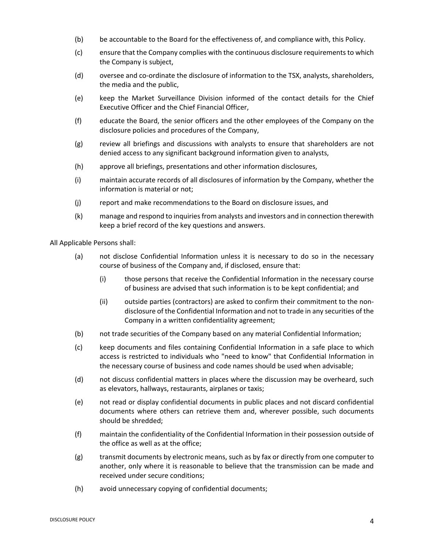- (b) be accountable to the Board for the effectiveness of, and compliance with, this Policy.
- (c) ensure that the Company complies with the continuous disclosure requirementsto which the Company is subject,
- (d) oversee and co-ordinate the disclosure of information to the TSX, analysts, shareholders, the media and the public,
- (e) keep the Market Surveillance Division informed of the contact details for the Chief Executive Officer and the Chief Financial Officer,
- (f) educate the Board, the senior officers and the other employees of the Company on the disclosure policies and procedures of the Company,
- (g) review all briefings and discussions with analysts to ensure that shareholders are not denied access to any significant background information given to analysts,
- (h) approve all briefings, presentations and other information disclosures,
- (i) maintain accurate records of all disclosures of information by the Company, whether the information is material or not;
- (j) report and make recommendations to the Board on disclosure issues, and
- (k) manage and respond to inquiries from analysts and investors and in connection therewith keep a brief record of the key questions and answers.

All Applicable Persons shall:

- (a) not disclose Confidential Information unless it is necessary to do so in the necessary course of business of the Company and, if disclosed, ensure that:
	- (i) those persons that receive the Confidential Information in the necessary course of business are advised that such information is to be kept confidential; and
	- (ii) outside parties (contractors) are asked to confirm their commitment to the nondisclosure of the Confidential Information and not to trade in any securities of the Company in a written confidentiality agreement;
- (b) not trade securities of the Company based on any material Confidential Information;
- (c) keep documents and files containing Confidential Information in a safe place to which access is restricted to individuals who "need to know" that Confidential Information in the necessary course of business and code names should be used when advisable;
- (d) not discuss confidential matters in places where the discussion may be overheard, such as elevators, hallways, restaurants, airplanes or taxis;
- (e) not read or display confidential documents in public places and not discard confidential documents where others can retrieve them and, wherever possible, such documents should be shredded;
- (f) maintain the confidentiality of the Confidential Information in their possession outside of the office as well as at the office;
- (g) transmit documents by electronic means, such as by fax or directly from one computer to another, only where it is reasonable to believe that the transmission can be made and received under secure conditions;
- (h) avoid unnecessary copying of confidential documents;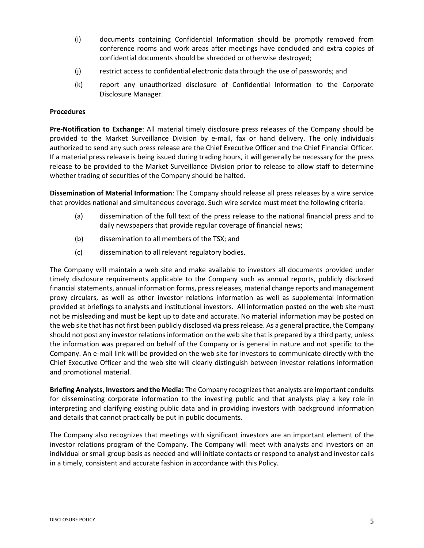- (i) documents containing Confidential Information should be promptly removed from conference rooms and work areas after meetings have concluded and extra copies of confidential documents should be shredded or otherwise destroyed;
- (j) restrict access to confidential electronic data through the use of passwords; and
- (k) report any unauthorized disclosure of Confidential Information to the Corporate Disclosure Manager.

#### **Procedures**

**Pre-Notification to Exchange**: All material timely disclosure press releases of the Company should be provided to the Market Surveillance Division by e-mail, fax or hand delivery. The only individuals authorized to send any such press release are the Chief Executive Officer and the Chief Financial Officer. If a material press release is being issued during trading hours, it will generally be necessary for the press release to be provided to the Market Surveillance Division prior to release to allow staff to determine whether trading of securities of the Company should be halted.

**Dissemination of Material Information**: The Company should release all press releases by a wire service that provides national and simultaneous coverage. Such wire service must meet the following criteria:

- (a) dissemination of the full text of the press release to the national financial press and to daily newspapers that provide regular coverage of financial news;
- (b) dissemination to all members of the TSX; and
- (c) dissemination to all relevant regulatory bodies.

The Company will maintain a web site and make available to investors all documents provided under timely disclosure requirements applicable to the Company such as annual reports, publicly disclosed financial statements, annual information forms, press releases, material change reports and management proxy circulars, as well as other investor relations information as well as supplemental information provided at briefings to analysts and institutional investors. All information posted on the web site must not be misleading and must be kept up to date and accurate. No material information may be posted on the web site that has not first been publicly disclosed via pressrelease. As a general practice, the Company should not post any investor relations information on the web site that is prepared by a third party, unless the information was prepared on behalf of the Company or is general in nature and not specific to the Company. An e-mail link will be provided on the web site for investors to communicate directly with the Chief Executive Officer and the web site will clearly distinguish between investor relations information and promotional material.

**Briefing Analysts, Investors and the Media:** The Company recognizesthat analysts are important conduits for disseminating corporate information to the investing public and that analysts play a key role in interpreting and clarifying existing public data and in providing investors with background information and details that cannot practically be put in public documents.

The Company also recognizes that meetings with significant investors are an important element of the investor relations program of the Company. The Company will meet with analysts and investors on an individual or small group basis as needed and will initiate contacts or respond to analyst and investor calls in a timely, consistent and accurate fashion in accordance with this Policy.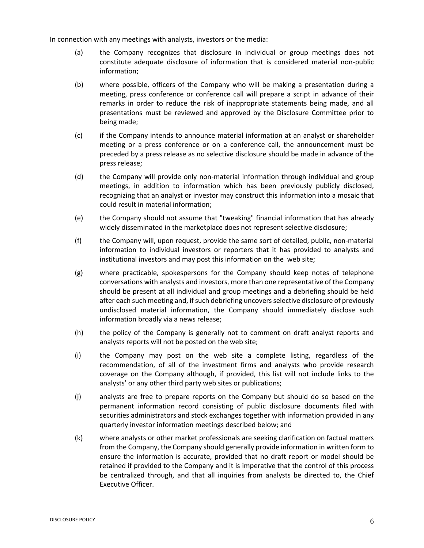In connection with any meetings with analysts, investors or the media:

- (a) the Company recognizes that disclosure in individual or group meetings does not constitute adequate disclosure of information that is considered material non-public information;
- (b) where possible, officers of the Company who will be making a presentation during a meeting, press conference or conference call will prepare a script in advance of their remarks in order to reduce the risk of inappropriate statements being made, and all presentations must be reviewed and approved by the Disclosure Committee prior to being made;
- (c) if the Company intends to announce material information at an analyst or shareholder meeting or a press conference or on a conference call, the announcement must be preceded by a press release as no selective disclosure should be made in advance of the press release;
- (d) the Company will provide only non-material information through individual and group meetings, in addition to information which has been previously publicly disclosed, recognizing that an analyst or investor may construct this information into a mosaic that could result in material information;
- (e) the Company should not assume that "tweaking" financial information that has already widely disseminated in the marketplace does not represent selective disclosure;
- (f) the Company will, upon request, provide the same sort of detailed, public, non-material information to individual investors or reporters that it has provided to analysts and institutional investors and may post this information on the web site;
- (g) where practicable, spokespersons for the Company should keep notes of telephone conversations with analysts and investors, more than one representative of the Company should be present at all individual and group meetings and a debriefing should be held after each such meeting and, if such debriefing uncovers selective disclosure of previously undisclosed material information, the Company should immediately disclose such information broadly via a news release;
- (h) the policy of the Company is generally not to comment on draft analyst reports and analysts reports will not be posted on the web site;
- (i) the Company may post on the web site a complete listing, regardless of the recommendation, of all of the investment firms and analysts who provide research coverage on the Company although, if provided, this list will not include links to the analysts' or any other third party web sites or publications;
- (j) analysts are free to prepare reports on the Company but should do so based on the permanent information record consisting of public disclosure documents filed with securities administrators and stock exchanges together with information provided in any quarterly investor information meetings described below; and
- (k) where analysts or other market professionals are seeking clarification on factual matters from the Company, the Company should generally provide information in written form to ensure the information is accurate, provided that no draft report or model should be retained if provided to the Company and it is imperative that the control of this process be centralized through, and that all inquiries from analysts be directed to, the Chief Executive Officer.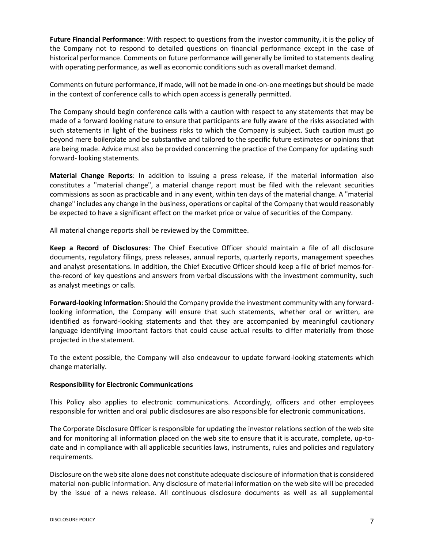**Future Financial Performance**: With respect to questions from the investor community, it is the policy of the Company not to respond to detailed questions on financial performance except in the case of historical performance. Comments on future performance will generally be limited to statements dealing with operating performance, as well as economic conditions such as overall market demand.

Comments on future performance, if made, will not be made in one-on-one meetings but should be made in the context of conference calls to which open access is generally permitted.

The Company should begin conference calls with a caution with respect to any statements that may be made of a forward looking nature to ensure that participants are fully aware of the risks associated with such statements in light of the business risks to which the Company is subject. Such caution must go beyond mere boilerplate and be substantive and tailored to the specific future estimates or opinions that are being made. Advice must also be provided concerning the practice of the Company for updating such forward- looking statements.

**Material Change Reports**: In addition to issuing a press release, if the material information also constitutes a "material change", a material change report must be filed with the relevant securities commissions as soon as practicable and in any event, within ten days of the material change. A "material change" includes any change in the business, operations or capital of the Company that would reasonably be expected to have a significant effect on the market price or value of securities of the Company.

All material change reports shall be reviewed by the Committee.

**Keep a Record of Disclosures**: The Chief Executive Officer should maintain a file of all disclosure documents, regulatory filings, press releases, annual reports, quarterly reports, management speeches and analyst presentations. In addition, the Chief Executive Officer should keep a file of brief memos-forthe-record of key questions and answers from verbal discussions with the investment community, such as analyst meetings or calls.

**Forward-looking Information**: Should the Company provide the investment community with any forwardlooking information, the Company will ensure that such statements, whether oral or written, are identified as forward-looking statements and that they are accompanied by meaningful cautionary language identifying important factors that could cause actual results to differ materially from those projected in the statement.

To the extent possible, the Company will also endeavour to update forward-looking statements which change materially.

# **Responsibility for Electronic Communications**

This Policy also applies to electronic communications. Accordingly, officers and other employees responsible for written and oral public disclosures are also responsible for electronic communications.

The Corporate Disclosure Officer is responsible for updating the investor relations section of the web site and for monitoring all information placed on the web site to ensure that it is accurate, complete, up-todate and in compliance with all applicable securities laws, instruments, rules and policies and regulatory requirements.

Disclosure on the web site alone does not constitute adequate disclosure of information that is considered material non-public information. Any disclosure of material information on the web site will be preceded by the issue of a news release. All continuous disclosure documents as well as all supplemental